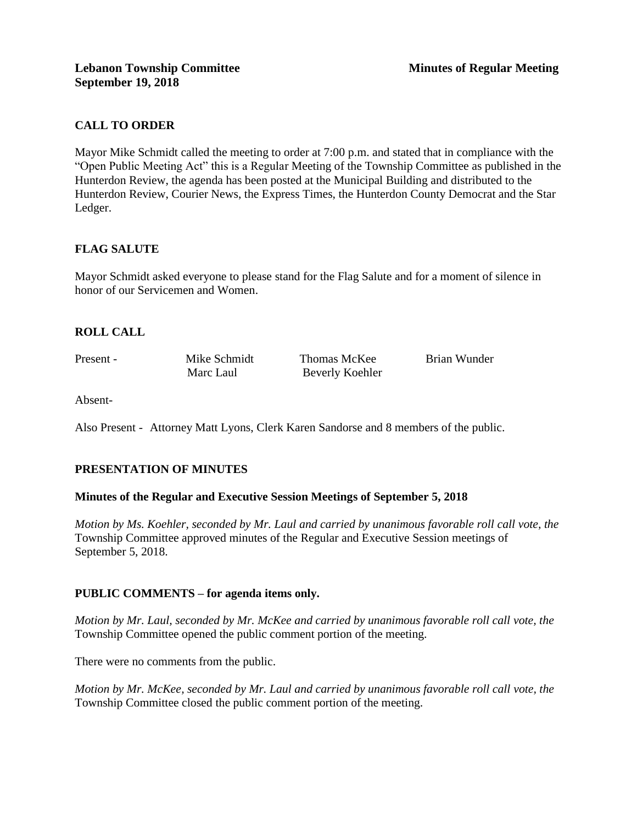# **CALL TO ORDER**

Mayor Mike Schmidt called the meeting to order at 7:00 p.m. and stated that in compliance with the "Open Public Meeting Act" this is a Regular Meeting of the Township Committee as published in the Hunterdon Review, the agenda has been posted at the Municipal Building and distributed to the Hunterdon Review, Courier News, the Express Times, the Hunterdon County Democrat and the Star Ledger.

## **FLAG SALUTE**

Mayor Schmidt asked everyone to please stand for the Flag Salute and for a moment of silence in honor of our Servicemen and Women.

## **ROLL CALL**

Present - Mike Schmidt Thomas McKee Brian Wunder Marc Laul Beverly Koehler

Absent-

Also Present - Attorney Matt Lyons, Clerk Karen Sandorse and 8 members of the public.

## **PRESENTATION OF MINUTES**

#### **Minutes of the Regular and Executive Session Meetings of September 5, 2018**

*Motion by Ms. Koehler, seconded by Mr. Laul and carried by unanimous favorable roll call vote, the* Township Committee approved minutes of the Regular and Executive Session meetings of September 5, 2018.

## **PUBLIC COMMENTS – for agenda items only.**

*Motion by Mr. Laul, seconded by Mr. McKee and carried by unanimous favorable roll call vote, the* Township Committee opened the public comment portion of the meeting.

There were no comments from the public.

*Motion by Mr. McKee, seconded by Mr. Laul and carried by unanimous favorable roll call vote, the*  Township Committee closed the public comment portion of the meeting.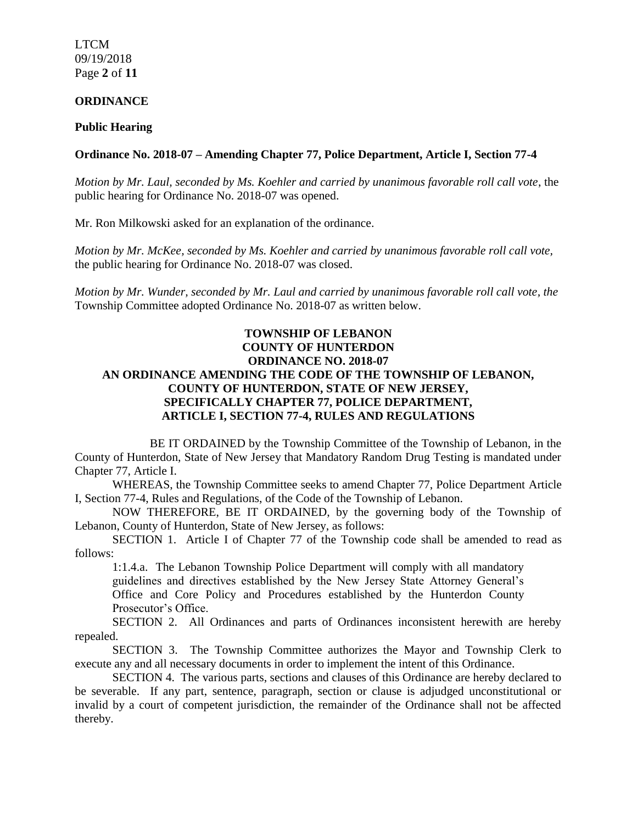LTCM 09/19/2018 Page **2** of **11**

#### **ORDINANCE**

#### **Public Hearing**

#### **Ordinance No. 2018-07 – Amending Chapter 77, Police Department, Article I, Section 77-4**

*Motion by Mr. Laul, seconded by Ms. Koehler and carried by unanimous favorable roll call vote*, the public hearing for Ordinance No. 2018-07 was opened.

Mr. Ron Milkowski asked for an explanation of the ordinance.

*Motion by Mr. McKee, seconded by Ms. Koehler and carried by unanimous favorable roll call vote,* the public hearing for Ordinance No. 2018-07 was closed.

*Motion by Mr. Wunder, seconded by Mr. Laul and carried by unanimous favorable roll call vote, the* Township Committee adopted Ordinance No. 2018-07 as written below.

### **TOWNSHIP OF LEBANON COUNTY OF HUNTERDON ORDINANCE NO. 2018-07 AN ORDINANCE AMENDING THE CODE OF THE TOWNSHIP OF LEBANON, COUNTY OF HUNTERDON, STATE OF NEW JERSEY, SPECIFICALLY CHAPTER 77, POLICE DEPARTMENT, ARTICLE I, SECTION 77-4, RULES AND REGULATIONS**

BE IT ORDAINED by the Township Committee of the Township of Lebanon, in the County of Hunterdon, State of New Jersey that Mandatory Random Drug Testing is mandated under Chapter 77, Article I.

WHEREAS, the Township Committee seeks to amend Chapter 77, Police Department Article I, Section 77-4, Rules and Regulations, of the Code of the Township of Lebanon.

NOW THEREFORE, BE IT ORDAINED, by the governing body of the Township of Lebanon, County of Hunterdon, State of New Jersey, as follows:

SECTION 1. Article I of Chapter 77 of the Township code shall be amended to read as follows:

1:1.4.a. The Lebanon Township Police Department will comply with all mandatory guidelines and directives established by the New Jersey State Attorney General's Office and Core Policy and Procedures established by the Hunterdon County Prosecutor's Office.

SECTION 2. All Ordinances and parts of Ordinances inconsistent herewith are hereby repealed.

SECTION 3. The Township Committee authorizes the Mayor and Township Clerk to execute any and all necessary documents in order to implement the intent of this Ordinance.

SECTION 4. The various parts, sections and clauses of this Ordinance are hereby declared to be severable. If any part, sentence, paragraph, section or clause is adjudged unconstitutional or invalid by a court of competent jurisdiction, the remainder of the Ordinance shall not be affected thereby.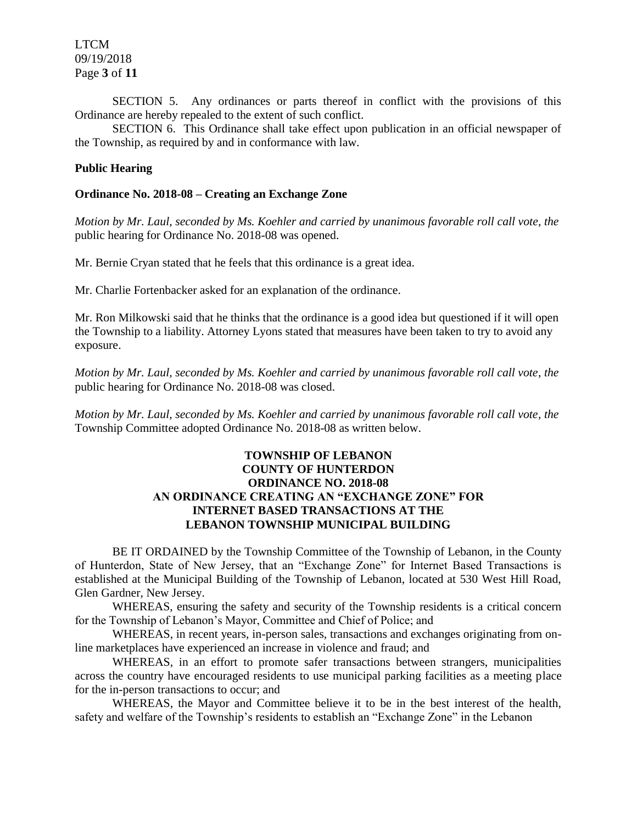LTCM 09/19/2018 Page **3** of **11**

SECTION 5. Any ordinances or parts thereof in conflict with the provisions of this Ordinance are hereby repealed to the extent of such conflict.

SECTION 6. This Ordinance shall take effect upon publication in an official newspaper of the Township, as required by and in conformance with law.

#### **Public Hearing**

#### **Ordinance No. 2018-08 – Creating an Exchange Zone**

*Motion by Mr. Laul, seconded by Ms. Koehler and carried by unanimous favorable roll call vote, the* public hearing for Ordinance No. 2018-08 was opened.

Mr. Bernie Cryan stated that he feels that this ordinance is a great idea.

Mr. Charlie Fortenbacker asked for an explanation of the ordinance.

Mr. Ron Milkowski said that he thinks that the ordinance is a good idea but questioned if it will open the Township to a liability. Attorney Lyons stated that measures have been taken to try to avoid any exposure.

*Motion by Mr. Laul, seconded by Ms. Koehler and carried by unanimous favorable roll call vote, the* public hearing for Ordinance No. 2018-08 was closed.

*Motion by Mr. Laul, seconded by Ms. Koehler and carried by unanimous favorable roll call vote, the* Township Committee adopted Ordinance No. 2018-08 as written below.

### **TOWNSHIP OF LEBANON COUNTY OF HUNTERDON ORDINANCE NO. 2018-08 AN ORDINANCE CREATING AN "EXCHANGE ZONE" FOR INTERNET BASED TRANSACTIONS AT THE LEBANON TOWNSHIP MUNICIPAL BUILDING**

BE IT ORDAINED by the Township Committee of the Township of Lebanon, in the County of Hunterdon, State of New Jersey, that an "Exchange Zone" for Internet Based Transactions is established at the Municipal Building of the Township of Lebanon, located at 530 West Hill Road, Glen Gardner, New Jersey.

WHEREAS, ensuring the safety and security of the Township residents is a critical concern for the Township of Lebanon's Mayor, Committee and Chief of Police; and

WHEREAS, in recent years, in-person sales, transactions and exchanges originating from online marketplaces have experienced an increase in violence and fraud; and

WHEREAS, in an effort to promote safer transactions between strangers, municipalities across the country have encouraged residents to use municipal parking facilities as a meeting place for the in-person transactions to occur; and

WHEREAS, the Mayor and Committee believe it to be in the best interest of the health, safety and welfare of the Township's residents to establish an "Exchange Zone" in the Lebanon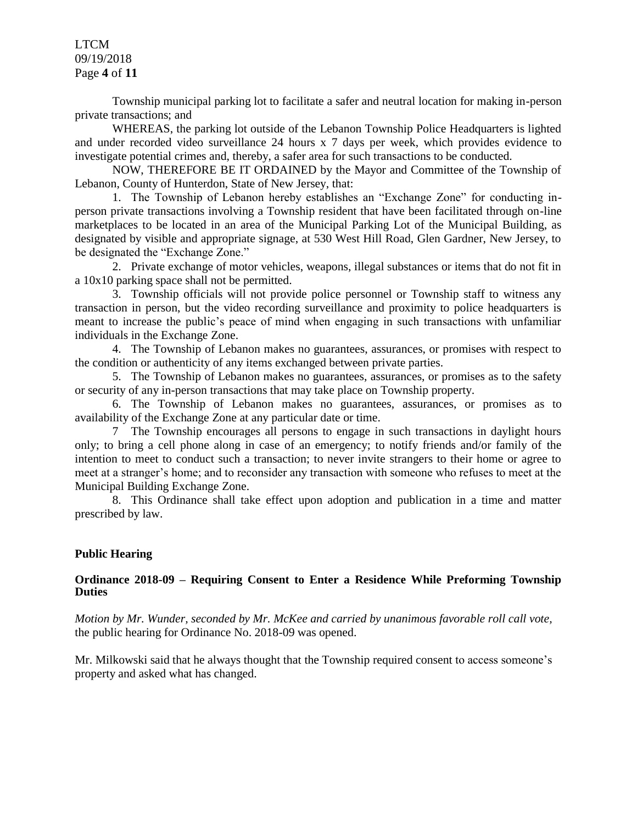LTCM 09/19/2018 Page **4** of **11**

Township municipal parking lot to facilitate a safer and neutral location for making in-person private transactions; and

WHEREAS, the parking lot outside of the Lebanon Township Police Headquarters is lighted and under recorded video surveillance 24 hours x 7 days per week, which provides evidence to investigate potential crimes and, thereby, a safer area for such transactions to be conducted.

NOW, THEREFORE BE IT ORDAINED by the Mayor and Committee of the Township of Lebanon, County of Hunterdon, State of New Jersey, that:

1. The Township of Lebanon hereby establishes an "Exchange Zone" for conducting inperson private transactions involving a Township resident that have been facilitated through on-line marketplaces to be located in an area of the Municipal Parking Lot of the Municipal Building, as designated by visible and appropriate signage, at 530 West Hill Road, Glen Gardner, New Jersey, to be designated the "Exchange Zone."

2. Private exchange of motor vehicles, weapons, illegal substances or items that do not fit in a 10x10 parking space shall not be permitted.

3. Township officials will not provide police personnel or Township staff to witness any transaction in person, but the video recording surveillance and proximity to police headquarters is meant to increase the public's peace of mind when engaging in such transactions with unfamiliar individuals in the Exchange Zone.

4. The Township of Lebanon makes no guarantees, assurances, or promises with respect to the condition or authenticity of any items exchanged between private parties.

5. The Township of Lebanon makes no guarantees, assurances, or promises as to the safety or security of any in-person transactions that may take place on Township property.

6. The Township of Lebanon makes no guarantees, assurances, or promises as to availability of the Exchange Zone at any particular date or time.

7 The Township encourages all persons to engage in such transactions in daylight hours only; to bring a cell phone along in case of an emergency; to notify friends and/or family of the intention to meet to conduct such a transaction; to never invite strangers to their home or agree to meet at a stranger's home; and to reconsider any transaction with someone who refuses to meet at the Municipal Building Exchange Zone.

8. This Ordinance shall take effect upon adoption and publication in a time and matter prescribed by law.

#### **Public Hearing**

#### **Ordinance 2018-09 – Requiring Consent to Enter a Residence While Preforming Township Duties**

*Motion by Mr. Wunder, seconded by Mr. McKee and carried by unanimous favorable roll call vote,* the public hearing for Ordinance No. 2018-09 was opened.

Mr. Milkowski said that he always thought that the Township required consent to access someone's property and asked what has changed.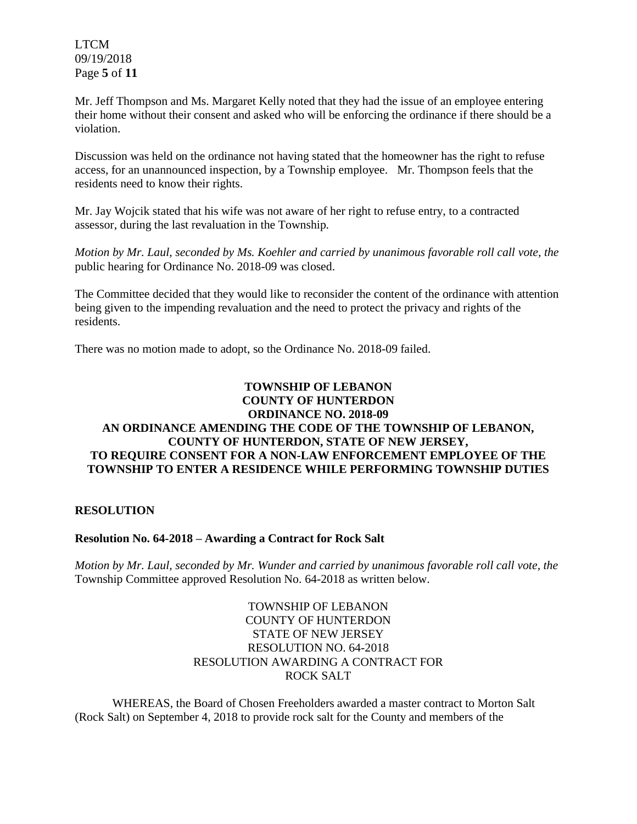LTCM 09/19/2018 Page **5** of **11**

Mr. Jeff Thompson and Ms. Margaret Kelly noted that they had the issue of an employee entering their home without their consent and asked who will be enforcing the ordinance if there should be a violation.

Discussion was held on the ordinance not having stated that the homeowner has the right to refuse access, for an unannounced inspection, by a Township employee. Mr. Thompson feels that the residents need to know their rights.

Mr. Jay Wojcik stated that his wife was not aware of her right to refuse entry, to a contracted assessor, during the last revaluation in the Township.

*Motion by Mr. Laul, seconded by Ms. Koehler and carried by unanimous favorable roll call vote, the* public hearing for Ordinance No. 2018-09 was closed.

The Committee decided that they would like to reconsider the content of the ordinance with attention being given to the impending revaluation and the need to protect the privacy and rights of the residents.

There was no motion made to adopt, so the Ordinance No. 2018-09 failed.

## **TOWNSHIP OF LEBANON COUNTY OF HUNTERDON ORDINANCE NO. 2018-09 AN ORDINANCE AMENDING THE CODE OF THE TOWNSHIP OF LEBANON, COUNTY OF HUNTERDON, STATE OF NEW JERSEY, TO REQUIRE CONSENT FOR A NON-LAW ENFORCEMENT EMPLOYEE OF THE TOWNSHIP TO ENTER A RESIDENCE WHILE PERFORMING TOWNSHIP DUTIES**

### **RESOLUTION**

#### **Resolution No. 64-2018 – Awarding a Contract for Rock Salt**

*Motion by Mr. Laul, seconded by Mr. Wunder and carried by unanimous favorable roll call vote, the*  Township Committee approved Resolution No. 64-2018 as written below.

## TOWNSHIP OF LEBANON COUNTY OF HUNTERDON STATE OF NEW JERSEY RESOLUTION NO. 64-2018 RESOLUTION AWARDING A CONTRACT FOR ROCK SALT

WHEREAS, the Board of Chosen Freeholders awarded a master contract to Morton Salt (Rock Salt) on September 4, 2018 to provide rock salt for the County and members of the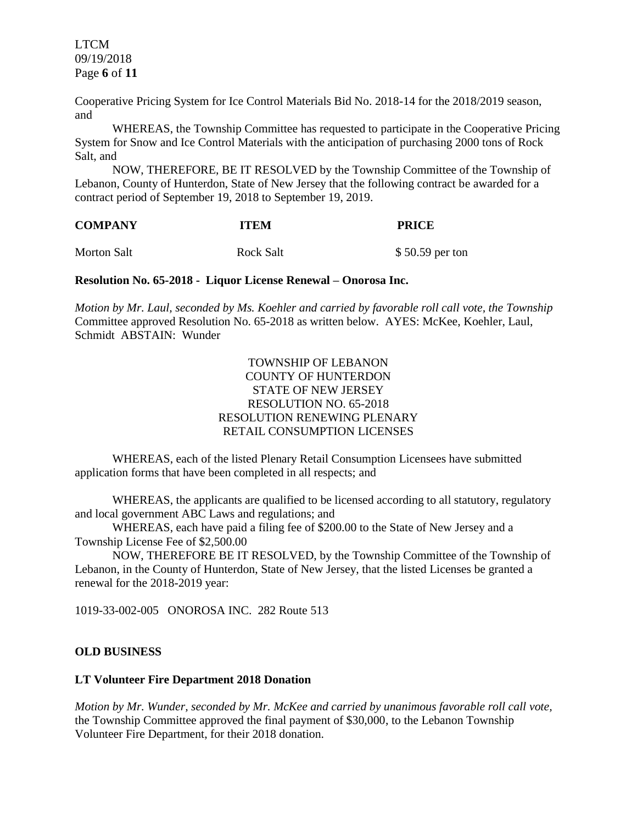LTCM 09/19/2018 Page **6** of **11**

Cooperative Pricing System for Ice Control Materials Bid No. 2018-14 for the 2018/2019 season, and

WHEREAS, the Township Committee has requested to participate in the Cooperative Pricing System for Snow and Ice Control Materials with the anticipation of purchasing 2000 tons of Rock Salt, and

NOW, THEREFORE, BE IT RESOLVED by the Township Committee of the Township of Lebanon, County of Hunterdon, State of New Jersey that the following contract be awarded for a contract period of September 19, 2018 to September 19, 2019.

| <b>COMPANY</b> | <b>ITEM</b> | <b>PRICE</b>    |
|----------------|-------------|-----------------|
| Morton Salt    | Rock Salt   | \$50.59 per ton |

**Resolution No. 65-2018 - Liquor License Renewal – Onorosa Inc.** 

*Motion by Mr. Laul, seconded by Ms. Koehler and carried by favorable roll call vote, the Township*  Committee approved Resolution No. 65-2018 as written below. AYES: McKee, Koehler, Laul, Schmidt ABSTAIN: Wunder

> TOWNSHIP OF LEBANON COUNTY OF HUNTERDON STATE OF NEW JERSEY RESOLUTION NO. 65-2018 RESOLUTION RENEWING PLENARY RETAIL CONSUMPTION LICENSES

WHEREAS, each of the listed Plenary Retail Consumption Licensees have submitted application forms that have been completed in all respects; and

WHEREAS, the applicants are qualified to be licensed according to all statutory, regulatory and local government ABC Laws and regulations; and

WHEREAS, each have paid a filing fee of \$200.00 to the State of New Jersey and a Township License Fee of \$2,500.00

NOW, THEREFORE BE IT RESOLVED, by the Township Committee of the Township of Lebanon, in the County of Hunterdon, State of New Jersey, that the listed Licenses be granted a renewal for the 2018-2019 year:

1019-33-002-005 ONOROSA INC. 282 Route 513

#### **OLD BUSINESS**

#### **LT Volunteer Fire Department 2018 Donation**

*Motion by Mr. Wunder, seconded by Mr. McKee and carried by unanimous favorable roll call vote,* the Township Committee approved the final payment of \$30,000, to the Lebanon Township Volunteer Fire Department, for their 2018 donation.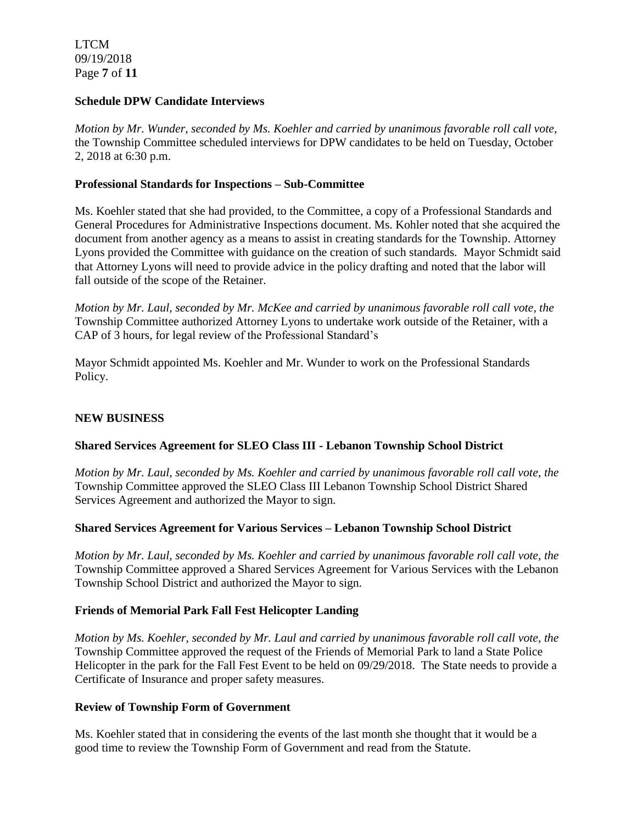LTCM 09/19/2018 Page **7** of **11**

### **Schedule DPW Candidate Interviews**

*Motion by Mr. Wunder, seconded by Ms. Koehler and carried by unanimous favorable roll call vote,* the Township Committee scheduled interviews for DPW candidates to be held on Tuesday, October 2, 2018 at 6:30 p.m.

### **Professional Standards for Inspections – Sub-Committee**

Ms. Koehler stated that she had provided, to the Committee, a copy of a Professional Standards and General Procedures for Administrative Inspections document. Ms. Kohler noted that she acquired the document from another agency as a means to assist in creating standards for the Township. Attorney Lyons provided the Committee with guidance on the creation of such standards. Mayor Schmidt said that Attorney Lyons will need to provide advice in the policy drafting and noted that the labor will fall outside of the scope of the Retainer.

*Motion by Mr. Laul, seconded by Mr. McKee and carried by unanimous favorable roll call vote, the* Township Committee authorized Attorney Lyons to undertake work outside of the Retainer, with a CAP of 3 hours, for legal review of the Professional Standard's

Mayor Schmidt appointed Ms. Koehler and Mr. Wunder to work on the Professional Standards Policy.

### **NEW BUSINESS**

## **Shared Services Agreement for SLEO Class III - Lebanon Township School District**

*Motion by Mr. Laul, seconded by Ms. Koehler and carried by unanimous favorable roll call vote, the* Township Committee approved the SLEO Class III Lebanon Township School District Shared Services Agreement and authorized the Mayor to sign.

#### **Shared Services Agreement for Various Services – Lebanon Township School District**

*Motion by Mr. Laul, seconded by Ms. Koehler and carried by unanimous favorable roll call vote, the* Township Committee approved a Shared Services Agreement for Various Services with the Lebanon Township School District and authorized the Mayor to sign.

#### **Friends of Memorial Park Fall Fest Helicopter Landing**

*Motion by Ms. Koehler, seconded by Mr. Laul and carried by unanimous favorable roll call vote, the* Township Committee approved the request of the Friends of Memorial Park to land a State Police Helicopter in the park for the Fall Fest Event to be held on 09/29/2018. The State needs to provide a Certificate of Insurance and proper safety measures.

#### **Review of Township Form of Government**

Ms. Koehler stated that in considering the events of the last month she thought that it would be a good time to review the Township Form of Government and read from the Statute.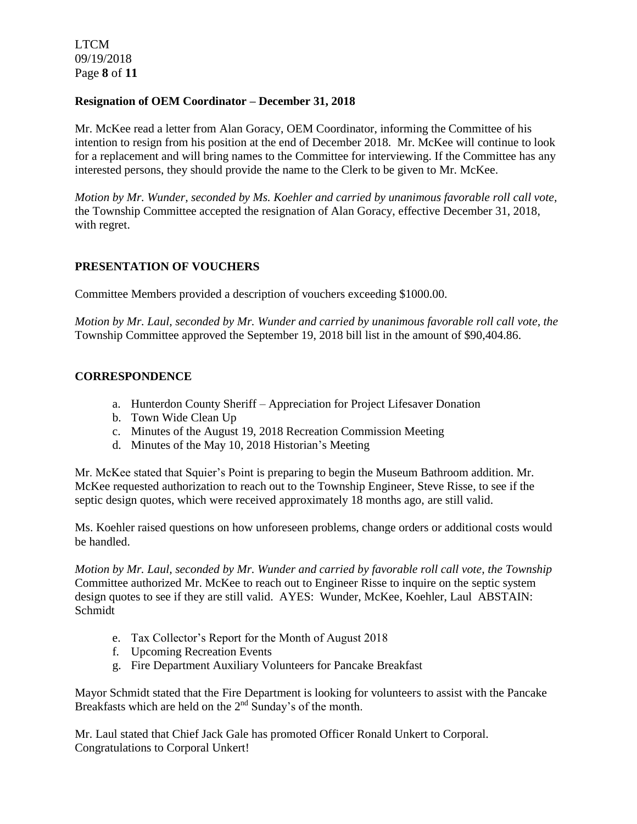LTCM 09/19/2018 Page **8** of **11**

### **Resignation of OEM Coordinator – December 31, 2018**

Mr. McKee read a letter from Alan Goracy, OEM Coordinator, informing the Committee of his intention to resign from his position at the end of December 2018. Mr. McKee will continue to look for a replacement and will bring names to the Committee for interviewing. If the Committee has any interested persons, they should provide the name to the Clerk to be given to Mr. McKee.

*Motion by Mr. Wunder, seconded by Ms. Koehler and carried by unanimous favorable roll call vote,* the Township Committee accepted the resignation of Alan Goracy, effective December 31, 2018, with regret.

## **PRESENTATION OF VOUCHERS**

Committee Members provided a description of vouchers exceeding \$1000.00.

*Motion by Mr. Laul, seconded by Mr. Wunder and carried by unanimous favorable roll call vote, the* Township Committee approved the September 19, 2018 bill list in the amount of \$90,404.86.

### **CORRESPONDENCE**

- a. Hunterdon County Sheriff Appreciation for Project Lifesaver Donation
- b. Town Wide Clean Up
- c. Minutes of the August 19, 2018 Recreation Commission Meeting
- d. Minutes of the May 10, 2018 Historian's Meeting

Mr. McKee stated that Squier's Point is preparing to begin the Museum Bathroom addition. Mr. McKee requested authorization to reach out to the Township Engineer, Steve Risse, to see if the septic design quotes, which were received approximately 18 months ago, are still valid.

Ms. Koehler raised questions on how unforeseen problems, change orders or additional costs would be handled.

*Motion by Mr. Laul, seconded by Mr. Wunder and carried by favorable roll call vote, the Township* Committee authorized Mr. McKee to reach out to Engineer Risse to inquire on the septic system design quotes to see if they are still valid. AYES: Wunder, McKee, Koehler, Laul ABSTAIN: Schmidt

- e. Tax Collector's Report for the Month of August 2018
- f. Upcoming Recreation Events
- g. Fire Department Auxiliary Volunteers for Pancake Breakfast

Mayor Schmidt stated that the Fire Department is looking for volunteers to assist with the Pancake Breakfasts which are held on the 2<sup>nd</sup> Sunday's of the month.

Mr. Laul stated that Chief Jack Gale has promoted Officer Ronald Unkert to Corporal. Congratulations to Corporal Unkert!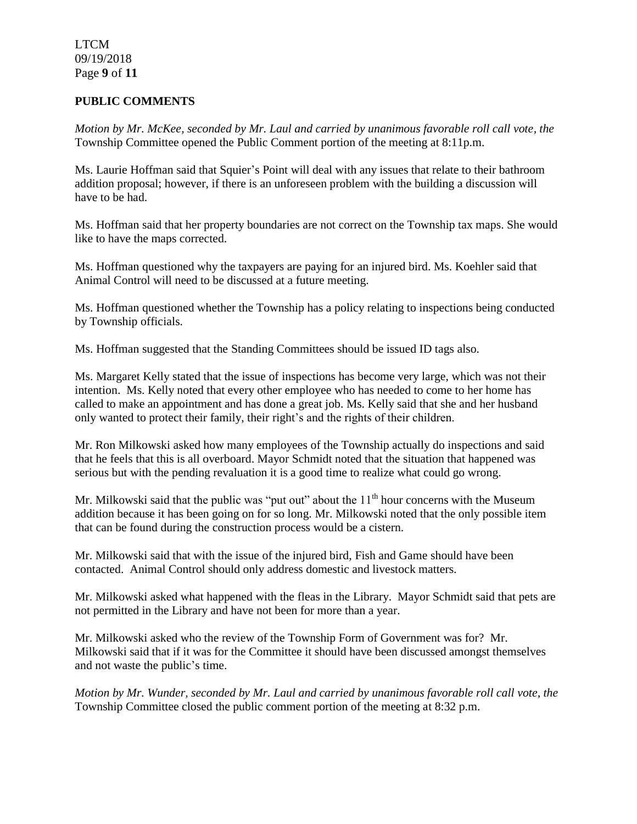LTCM 09/19/2018 Page **9** of **11**

### **PUBLIC COMMENTS**

*Motion by Mr. McKee, seconded by Mr. Laul and carried by unanimous favorable roll call vote, the* Township Committee opened the Public Comment portion of the meeting at 8:11p.m.

Ms. Laurie Hoffman said that Squier's Point will deal with any issues that relate to their bathroom addition proposal; however, if there is an unforeseen problem with the building a discussion will have to be had.

Ms. Hoffman said that her property boundaries are not correct on the Township tax maps. She would like to have the maps corrected.

Ms. Hoffman questioned why the taxpayers are paying for an injured bird. Ms. Koehler said that Animal Control will need to be discussed at a future meeting.

Ms. Hoffman questioned whether the Township has a policy relating to inspections being conducted by Township officials.

Ms. Hoffman suggested that the Standing Committees should be issued ID tags also.

Ms. Margaret Kelly stated that the issue of inspections has become very large, which was not their intention. Ms. Kelly noted that every other employee who has needed to come to her home has called to make an appointment and has done a great job. Ms. Kelly said that she and her husband only wanted to protect their family, their right's and the rights of their children.

Mr. Ron Milkowski asked how many employees of the Township actually do inspections and said that he feels that this is all overboard. Mayor Schmidt noted that the situation that happened was serious but with the pending revaluation it is a good time to realize what could go wrong.

Mr. Milkowski said that the public was "put out" about the  $11<sup>th</sup>$  hour concerns with the Museum addition because it has been going on for so long. Mr. Milkowski noted that the only possible item that can be found during the construction process would be a cistern.

Mr. Milkowski said that with the issue of the injured bird, Fish and Game should have been contacted. Animal Control should only address domestic and livestock matters.

Mr. Milkowski asked what happened with the fleas in the Library. Mayor Schmidt said that pets are not permitted in the Library and have not been for more than a year.

Mr. Milkowski asked who the review of the Township Form of Government was for? Mr. Milkowski said that if it was for the Committee it should have been discussed amongst themselves and not waste the public's time.

*Motion by Mr. Wunder, seconded by Mr. Laul and carried by unanimous favorable roll call vote, the* Township Committee closed the public comment portion of the meeting at 8:32 p.m.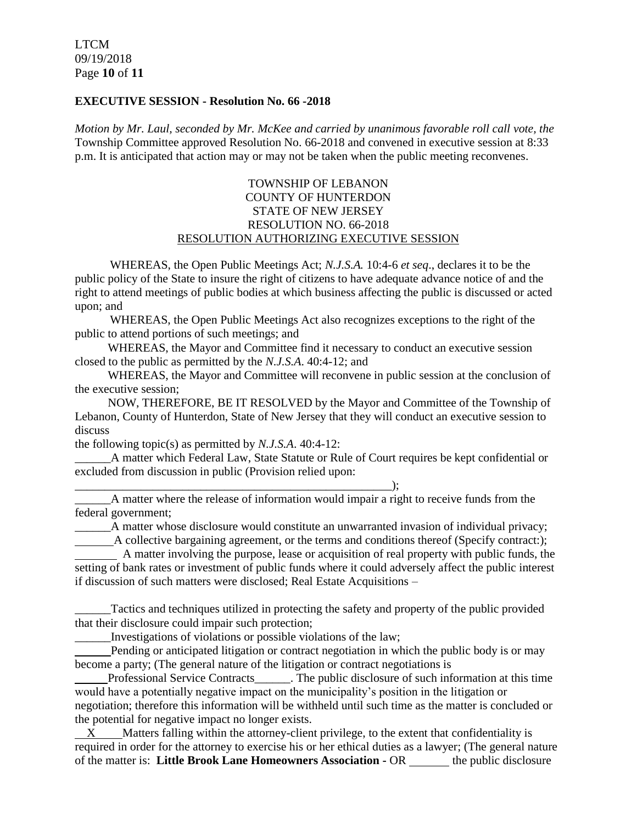#### **EXECUTIVE SESSION - Resolution No. 66 -2018**

*Motion by Mr. Laul, seconded by Mr. McKee and carried by unanimous favorable roll call vote, the* Township Committee approved Resolution No. 66-2018 and convened in executive session at 8:33 p.m. It is anticipated that action may or may not be taken when the public meeting reconvenes.

## TOWNSHIP OF LEBANON COUNTY OF HUNTERDON STATE OF NEW JERSEY RESOLUTION NO. 66-2018 RESOLUTION AUTHORIZING EXECUTIVE SESSION

WHEREAS, the Open Public Meetings Act; *N.J.S.A.* 10:4-6 *et seq*., declares it to be the public policy of the State to insure the right of citizens to have adequate advance notice of and the right to attend meetings of public bodies at which business affecting the public is discussed or acted upon; and

WHEREAS, the Open Public Meetings Act also recognizes exceptions to the right of the public to attend portions of such meetings; and

 WHEREAS, the Mayor and Committee find it necessary to conduct an executive session closed to the public as permitted by the *N.J.S.A*. 40:4-12; and

 WHEREAS, the Mayor and Committee will reconvene in public session at the conclusion of the executive session;

 NOW, THEREFORE, BE IT RESOLVED by the Mayor and Committee of the Township of Lebanon, County of Hunterdon, State of New Jersey that they will conduct an executive session to discuss

the following topic(s) as permitted by *N.J.S.A*. 40:4-12:

A matter which Federal Law, State Statute or Rule of Court requires be kept confidential or excluded from discussion in public (Provision relied upon:

\_\_\_\_\_\_\_\_\_\_\_\_\_\_\_\_\_\_\_\_\_\_\_\_\_\_\_\_\_\_\_\_\_\_\_\_\_\_\_\_\_\_\_\_\_\_\_\_\_\_\_\_\_);

\_\_\_\_\_\_A matter where the release of information would impair a right to receive funds from the federal government;

\_\_\_\_\_\_A matter whose disclosure would constitute an unwarranted invasion of individual privacy;

A collective bargaining agreement, or the terms and conditions thereof (Specify contract:);

A matter involving the purpose, lease or acquisition of real property with public funds, the setting of bank rates or investment of public funds where it could adversely affect the public interest if discussion of such matters were disclosed; Real Estate Acquisitions –

Tactics and techniques utilized in protecting the safety and property of the public provided that their disclosure could impair such protection;

\_\_\_\_\_\_Investigations of violations or possible violations of the law;

 Pending or anticipated litigation or contract negotiation in which the public body is or may become a party; (The general nature of the litigation or contract negotiations is

 Professional Service Contracts\_\_\_\_\_\_. The public disclosure of such information at this time would have a potentially negative impact on the municipality's position in the litigation or negotiation; therefore this information will be withheld until such time as the matter is concluded or the potential for negative impact no longer exists.

 X Matters falling within the attorney-client privilege, to the extent that confidentiality is required in order for the attorney to exercise his or her ethical duties as a lawyer; (The general nature of the matter is: **Little Brook Lane Homeowners Association -** OR \_\_\_\_\_\_ the public disclosure